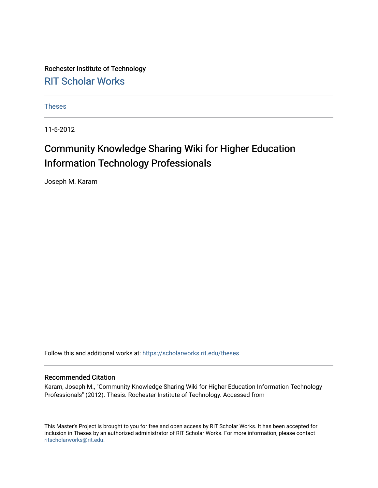Rochester Institute of Technology [RIT Scholar Works](https://scholarworks.rit.edu/)

[Theses](https://scholarworks.rit.edu/theses) 

11-5-2012

# Community Knowledge Sharing Wiki for Higher Education Information Technology Professionals

Joseph M. Karam

Follow this and additional works at: [https://scholarworks.rit.edu/theses](https://scholarworks.rit.edu/theses?utm_source=scholarworks.rit.edu%2Ftheses%2F8971&utm_medium=PDF&utm_campaign=PDFCoverPages) 

#### Recommended Citation

Karam, Joseph M., "Community Knowledge Sharing Wiki for Higher Education Information Technology Professionals" (2012). Thesis. Rochester Institute of Technology. Accessed from

This Master's Project is brought to you for free and open access by RIT Scholar Works. It has been accepted for inclusion in Theses by an authorized administrator of RIT Scholar Works. For more information, please contact [ritscholarworks@rit.edu](mailto:ritscholarworks@rit.edu).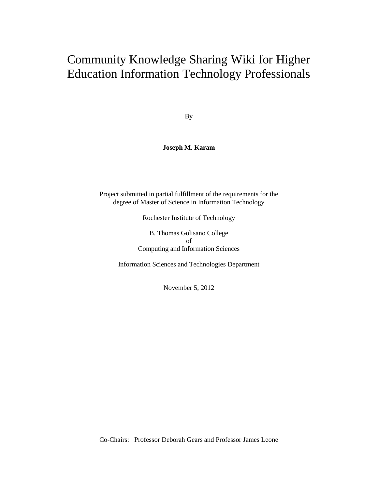# Community Knowledge Sharing Wiki for Higher Education Information Technology Professionals

By

#### **Joseph M. Karam**

Project submitted in partial fulfillment of the requirements for the degree of Master of Science in Information Technology

Rochester Institute of Technology

B. Thomas Golisano College of Computing and Information Sciences

Information Sciences and Technologies Department

November 5, 2012

Co-Chairs: Professor Deborah Gears and Professor James Leone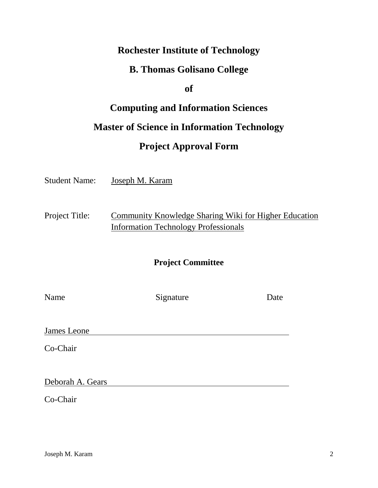## **Rochester Institute of Technology**

## **B. Thomas Golisano College**

**of**

# **Computing and Information Sciences Master of Science in Information Technology Project Approval Form**

Student Name: Joseph M. Karam

Project Title: Community Knowledge Sharing Wiki for Higher Education Information Technology Professionals

### **Project Committee**

| am<br>ı٢ |
|----------|
|----------|

Signature Date

James Leone

Co-Chair

Deborah A. Gears

Co-Chair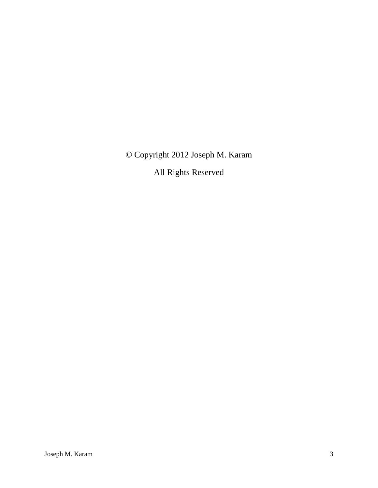© Copyright 2012 Joseph M. Karam

All Rights Reserved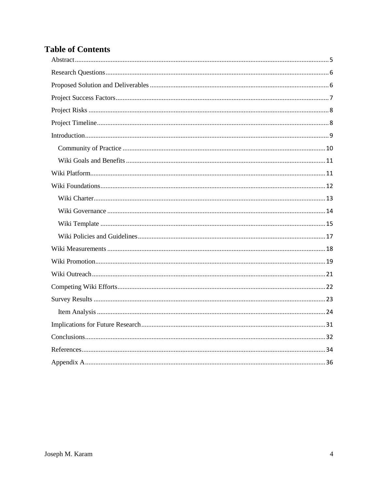# **Table of Contents**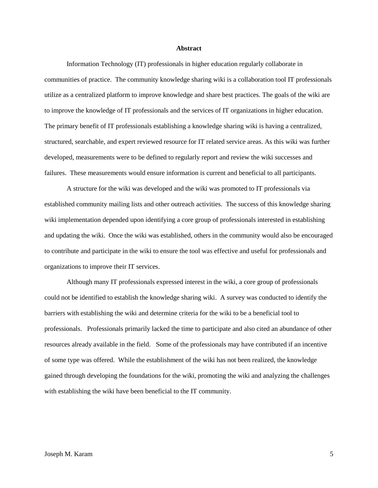#### **Abstract**

<span id="page-5-0"></span>Information Technology (IT) professionals in higher education regularly collaborate in communities of practice. The community knowledge sharing wiki is a collaboration tool IT professionals utilize as a centralized platform to improve knowledge and share best practices. The goals of the wiki are to improve the knowledge of IT professionals and the services of IT organizations in higher education. The primary benefit of IT professionals establishing a knowledge sharing wiki is having a centralized, structured, searchable, and expert reviewed resource for IT related service areas. As this wiki was further developed, measurements were to be defined to regularly report and review the wiki successes and failures. These measurements would ensure information is current and beneficial to all participants.

A structure for the wiki was developed and the wiki was promoted to IT professionals via established community mailing lists and other outreach activities. The success of this knowledge sharing wiki implementation depended upon identifying a core group of professionals interested in establishing and updating the wiki. Once the wiki was established, others in the community would also be encouraged to contribute and participate in the wiki to ensure the tool was effective and useful for professionals and organizations to improve their IT services.

<span id="page-5-1"></span>Although many IT professionals expressed interest in the wiki, a core group of professionals could not be identified to establish the knowledge sharing wiki. A survey was conducted to identify the barriers with establishing the wiki and determine criteria for the wiki to be a beneficial tool to professionals. Professionals primarily lacked the time to participate and also cited an abundance of other resources already available in the field. Some of the professionals may have contributed if an incentive of some type was offered. While the establishment of the wiki has not been realized, the knowledge gained through developing the foundations for the wiki, promoting the wiki and analyzing the challenges with establishing the wiki have been beneficial to the IT community.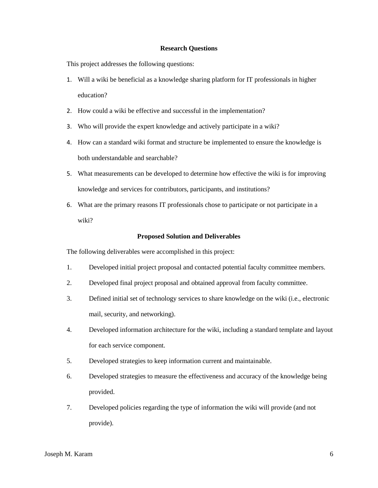#### **Research Questions**

This project addresses the following questions:

- 1. Will a wiki be beneficial as a knowledge sharing platform for IT professionals in higher education?
- 2. How could a wiki be effective and successful in the implementation?
- 3. Who will provide the expert knowledge and actively participate in a wiki?
- 4. How can a standard wiki format and structure be implemented to ensure the knowledge is both understandable and searchable?
- 5. What measurements can be developed to determine how effective the wiki is for improving knowledge and services for contributors, participants, and institutions?
- 6. What are the primary reasons IT professionals chose to participate or not participate in a wiki?

#### **Proposed Solution and Deliverables**

<span id="page-6-0"></span>The following deliverables were accomplished in this project:

- 1. Developed initial project proposal and contacted potential faculty committee members.
- 2. Developed final project proposal and obtained approval from faculty committee.
- 3. Defined initial set of technology services to share knowledge on the wiki (i.e., electronic mail, security, and networking).
- 4. Developed information architecture for the wiki, including a standard template and layout for each service component.
- 5. Developed strategies to keep information current and maintainable.
- 6. Developed strategies to measure the effectiveness and accuracy of the knowledge being provided.
- 7. Developed policies regarding the type of information the wiki will provide (and not provide).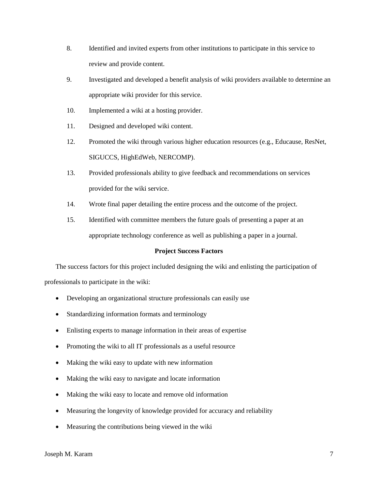- 8. Identified and invited experts from other institutions to participate in this service to review and provide content.
- 9. Investigated and developed a benefit analysis of wiki providers available to determine an appropriate wiki provider for this service.
- 10. Implemented a wiki at a hosting provider.
- 11. Designed and developed wiki content.
- 12. Promoted the wiki through various higher education resources (e.g., Educause, ResNet, SIGUCCS, HighEdWeb, NERCOMP).
- 13. Provided professionals ability to give feedback and recommendations on services provided for the wiki service.
- 14. Wrote final paper detailing the entire process and the outcome of the project.
- 15. Identified with committee members the future goals of presenting a paper at an appropriate technology conference as well as publishing a paper in a journal.

#### **Project Success Factors**

<span id="page-7-0"></span>The success factors for this project included designing the wiki and enlisting the participation of professionals to participate in the wiki:

- Developing an organizational structure professionals can easily use
- Standardizing information formats and terminology
- Enlisting experts to manage information in their areas of expertise
- Promoting the wiki to all IT professionals as a useful resource
- Making the wiki easy to update with new information
- Making the wiki easy to navigate and locate information
- Making the wiki easy to locate and remove old information
- Measuring the longevity of knowledge provided for accuracy and reliability
- Measuring the contributions being viewed in the wiki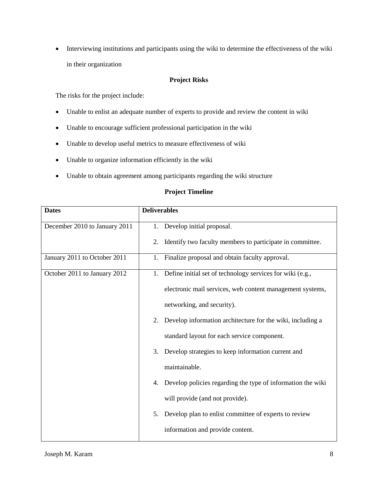Interviewing institutions and participants using the wiki to determine the effectiveness of the wiki in their organization

#### **Project Risks**

<span id="page-8-0"></span>The risks for the project include:

- Unable to enlist an adequate number of experts to provide and review the content in wiki
- Unable to encourage sufficient professional participation in the wiki
- Unable to develop useful metrics to measure effectiveness of wiki
- Unable to organize information efficiently in the wiki
- Unable to obtain agreement among participants regarding the wiki structure

#### **Project Timeline**

<span id="page-8-1"></span>

| <b>Dates</b>                  | <b>Deliverables</b>                                               |
|-------------------------------|-------------------------------------------------------------------|
| December 2010 to January 2011 | Develop initial proposal.<br>1.                                   |
|                               | Identify two faculty members to participate in committee.<br>2.   |
| January 2011 to October 2011  | 1. Finalize proposal and obtain faculty approval.                 |
| October 2011 to January 2012  | 1. Define initial set of technology services for wiki (e.g.,      |
|                               | electronic mail services, web content management systems,         |
|                               | networking, and security).                                        |
|                               | Develop information architecture for the wiki, including a<br>2.  |
|                               | standard layout for each service component.                       |
|                               | Develop strategies to keep information current and<br>3.          |
|                               | maintainable.                                                     |
|                               | Develop policies regarding the type of information the wiki<br>4. |
|                               | will provide (and not provide).                                   |
|                               | Develop plan to enlist committee of experts to review<br>5.       |
|                               | information and provide content.                                  |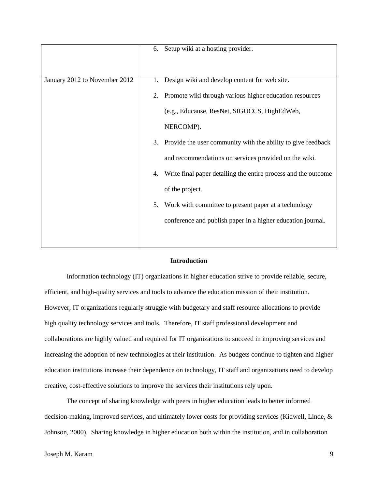|                               | 6. Setup wiki at a hosting provider.                                 |
|-------------------------------|----------------------------------------------------------------------|
| January 2012 to November 2012 | Design wiki and develop content for web site.<br>1.                  |
|                               | Promote wiki through various higher education resources<br>2.        |
|                               | (e.g., Educause, ResNet, SIGUCCS, HighEdWeb,                         |
|                               | NERCOMP).                                                            |
|                               | 3. Provide the user community with the ability to give feedback      |
|                               | and recommendations on services provided on the wiki.                |
|                               | Write final paper detailing the entire process and the outcome<br>4. |
|                               | of the project.                                                      |
|                               | Work with committee to present paper at a technology<br>5.           |
|                               | conference and publish paper in a higher education journal.          |
|                               |                                                                      |

#### **Introduction**

<span id="page-9-0"></span>Information technology (IT) organizations in higher education strive to provide reliable, secure, efficient, and high-quality services and tools to advance the education mission of their institution. However, IT organizations regularly struggle with budgetary and staff resource allocations to provide high quality technology services and tools. Therefore, IT staff professional development and collaborations are highly valued and required for IT organizations to succeed in improving services and increasing the adoption of new technologies at their institution. As budgets continue to tighten and higher education institutions increase their dependence on technology, IT staff and organizations need to develop creative, cost-effective solutions to improve the services their institutions rely upon.

The concept of sharing knowledge with peers in higher education leads to better informed decision-making, improved services, and ultimately lower costs for providing services (Kidwell, Linde, & Johnson, 2000). Sharing knowledge in higher education both within the institution, and in collaboration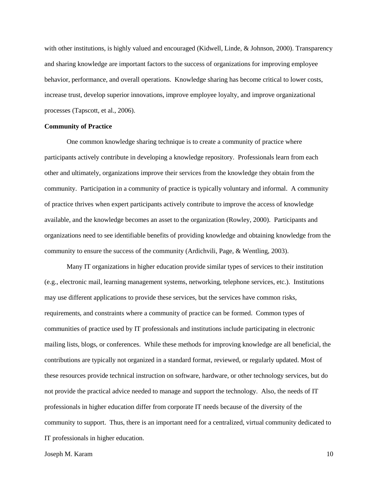with other institutions, is highly valued and encouraged (Kidwell, Linde, & Johnson, 2000). Transparency and sharing knowledge are important factors to the success of organizations for improving employee behavior, performance, and overall operations. Knowledge sharing has become critical to lower costs, increase trust, develop superior innovations, improve employee loyalty, and improve organizational processes (Tapscott, et al., 2006).

#### <span id="page-10-0"></span>**Community of Practice**

One common knowledge sharing technique is to create a community of practice where participants actively contribute in developing a knowledge repository. Professionals learn from each other and ultimately, organizations improve their services from the knowledge they obtain from the community. Participation in a community of practice is typically voluntary and informal. A community of practice thrives when expert participants actively contribute to improve the access of knowledge available, and the knowledge becomes an asset to the organization (Rowley, 2000). Participants and organizations need to see identifiable benefits of providing knowledge and obtaining knowledge from the community to ensure the success of the community (Ardichvili, Page, & Wentling, 2003).

Many IT organizations in higher education provide similar types of services to their institution (e.g., electronic mail, learning management systems, networking, telephone services, etc.). Institutions may use different applications to provide these services, but the services have common risks, requirements, and constraints where a community of practice can be formed. Common types of communities of practice used by IT professionals and institutions include participating in electronic mailing lists, blogs, or conferences. While these methods for improving knowledge are all beneficial, the contributions are typically not organized in a standard format, reviewed, or regularly updated. Most of these resources provide technical instruction on software, hardware, or other technology services, but do not provide the practical advice needed to manage and support the technology. Also, the needs of IT professionals in higher education differ from corporate IT needs because of the diversity of the community to support. Thus, there is an important need for a centralized, virtual community dedicated to IT professionals in higher education.

Joseph M. Karam 10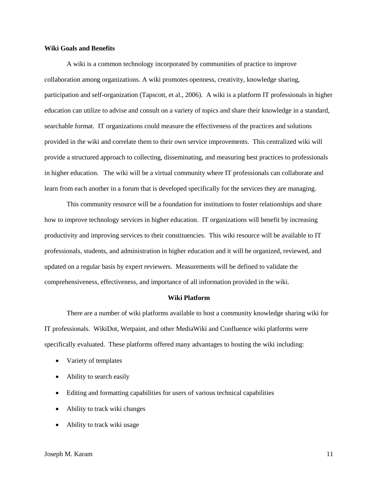#### <span id="page-11-0"></span>**Wiki Goals and Benefits**

A wiki is a common technology incorporated by communities of practice to improve collaboration among organizations. A wiki promotes openness, creativity, knowledge sharing, participation and self-organization (Tapscott, et al., 2006). A wiki is a platform IT professionals in higher education can utilize to advise and consult on a variety of topics and share their knowledge in a standard, searchable format. IT organizations could measure the effectiveness of the practices and solutions provided in the wiki and correlate them to their own service improvements. This centralized wiki will provide a structured approach to collecting, disseminating, and measuring best practices to professionals in higher education. The wiki will be a virtual community where IT professionals can collaborate and learn from each another in a forum that is developed specifically for the services they are managing.

This community resource will be a foundation for institutions to foster relationships and share how to improve technology services in higher education. IT organizations will benefit by increasing productivity and improving services to their constituencies. This wiki resource will be available to IT professionals, students, and administration in higher education and it will be organized, reviewed, and updated on a regular basis by expert reviewers. Measurements will be defined to validate the comprehensiveness, effectiveness, and importance of all information provided in the wiki.

#### **Wiki Platform**

<span id="page-11-1"></span>There are a number of wiki platforms available to host a community knowledge sharing wiki for IT professionals. WikiDot, Wetpaint, and other MediaWiki and Confluence wiki platforms were specifically evaluated. These platforms offered many advantages to hosting the wiki including:

- Variety of templates
- Ability to search easily
- Editing and formatting capabilities for users of various technical capabilities
- Ability to track wiki changes
- Ability to track wiki usage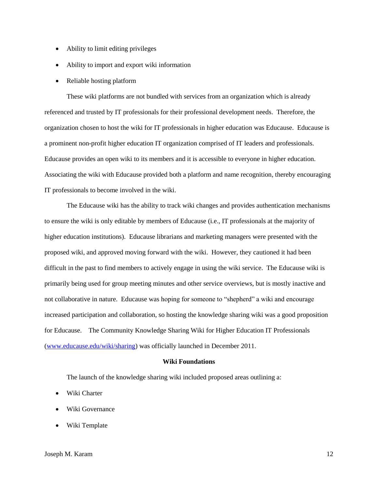- Ability to limit editing privileges
- Ability to import and export wiki information
- Reliable hosting platform

These wiki platforms are not bundled with services from an organization which is already referenced and trusted by IT professionals for their professional development needs. Therefore, the organization chosen to host the wiki for IT professionals in higher education was Educause. Educause is a prominent non-profit higher education IT organization comprised of IT leaders and professionals. Educause provides an open wiki to its members and it is accessible to everyone in higher education. Associating the wiki with Educause provided both a platform and name recognition, thereby encouraging IT professionals to become involved in the wiki.

The Educause wiki has the ability to track wiki changes and provides authentication mechanisms to ensure the wiki is only editable by members of Educause (i.e., IT professionals at the majority of higher education institutions). Educause librarians and marketing managers were presented with the proposed wiki, and approved moving forward with the wiki. However, they cautioned it had been difficult in the past to find members to actively engage in using the wiki service. The Educause wiki is primarily being used for group meeting minutes and other service overviews, but is mostly inactive and not collaborative in nature. Educause was hoping for someone to "shepherd" a wiki and encourage increased participation and collaboration, so hosting the knowledge sharing wiki was a good proposition for Educause. The Community Knowledge Sharing Wiki for Higher Education IT Professionals [\(www.educause.edu/wiki/sharing\)](http://www.educause.edu/wiki/sharing) was officially launched in December 2011.

#### **Wiki Foundations**

<span id="page-12-0"></span>The launch of the knowledge sharing wiki included proposed areas outlining a:

- Wiki Charter
- Wiki Governance
- Wiki Template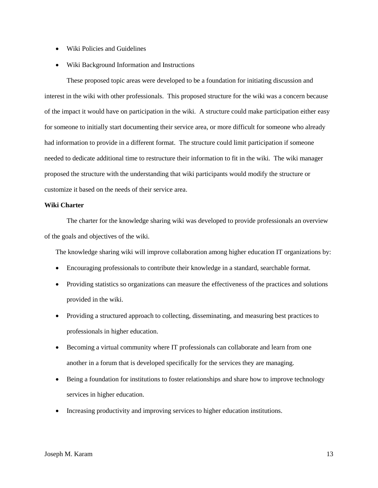- Wiki Policies and Guidelines
- Wiki Background Information and Instructions

These proposed topic areas were developed to be a foundation for initiating discussion and interest in the wiki with other professionals. This proposed structure for the wiki was a concern because of the impact it would have on participation in the wiki. A structure could make participation either easy for someone to initially start documenting their service area, or more difficult for someone who already had information to provide in a different format. The structure could limit participation if someone needed to dedicate additional time to restructure their information to fit in the wiki. The wiki manager proposed the structure with the understanding that wiki participants would modify the structure or customize it based on the needs of their service area.

#### <span id="page-13-0"></span>**Wiki Charter**

The charter for the knowledge sharing wiki was developed to provide professionals an overview of the goals and objectives of the wiki.

The knowledge sharing wiki will improve collaboration among higher education IT organizations by:

- Encouraging professionals to contribute their knowledge in a standard, searchable format.
- Providing statistics so organizations can measure the effectiveness of the practices and solutions provided in the wiki.
- Providing a structured approach to collecting, disseminating, and measuring best practices to professionals in higher education.
- Becoming a virtual community where IT professionals can collaborate and learn from one another in a forum that is developed specifically for the services they are managing.
- Being a foundation for institutions to foster relationships and share how to improve technology services in higher education.
- Increasing productivity and improving services to higher education institutions.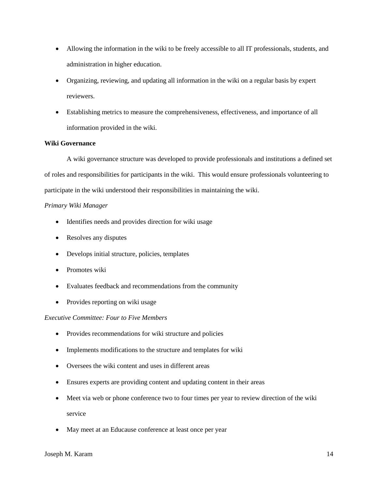- Allowing the information in the wiki to be freely accessible to all IT professionals, students, and administration in higher education.
- Organizing, reviewing, and updating all information in the wiki on a regular basis by expert reviewers.
- Establishing metrics to measure the comprehensiveness, effectiveness, and importance of all information provided in the wiki.

#### <span id="page-14-0"></span>**Wiki Governance**

A wiki governance structure was developed to provide professionals and institutions a defined set of roles and responsibilities for participants in the wiki. This would ensure professionals volunteering to participate in the wiki understood their responsibilities in maintaining the wiki.

#### *Primary Wiki Manager*

- Identifies needs and provides direction for wiki usage
- Resolves any disputes
- Develops initial structure, policies, templates
- Promotes wiki
- Evaluates feedback and recommendations from the community
- Provides reporting on wiki usage

#### *Executive Committee: Four to Five Members*

- Provides recommendations for wiki structure and policies
- Implements modifications to the structure and templates for wiki
- Oversees the wiki content and uses in different areas
- Ensures experts are providing content and updating content in their areas
- Meet via web or phone conference two to four times per year to review direction of the wiki service
- May meet at an Educause conference at least once per year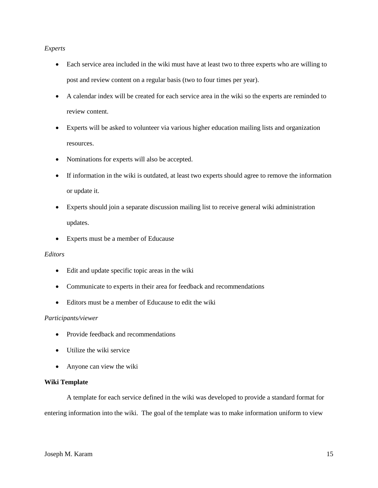#### *Experts*

- Each service area included in the wiki must have at least two to three experts who are willing to post and review content on a regular basis (two to four times per year).
- A calendar index will be created for each service area in the wiki so the experts are reminded to review content.
- Experts will be asked to volunteer via various higher education mailing lists and organization resources.
- Nominations for experts will also be accepted.
- If information in the wiki is outdated, at least two experts should agree to remove the information or update it.
- Experts should join a separate discussion mailing list to receive general wiki administration updates.
- Experts must be a member of Educause

#### *Editors*

- Edit and update specific topic areas in the wiki
- Communicate to experts in their area for feedback and recommendations
- Editors must be a member of Educause to edit the wiki

#### *Participants/viewer*

- Provide feedback and recommendations
- Utilize the wiki service
- Anyone can view the wiki

#### <span id="page-15-0"></span>**Wiki Template**

A template for each service defined in the wiki was developed to provide a standard format for entering information into the wiki. The goal of the template was to make information uniform to view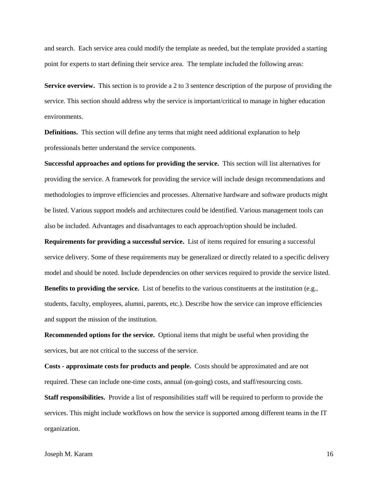and search. Each service area could modify the template as needed, but the template provided a starting point for experts to start defining their service area. The template included the following areas:

**Service overview.** This section is to provide a 2 to 3 sentence description of the purpose of providing the service. This section should address why the service is important/critical to manage in higher education environments.

**Definitions.** This section will define any terms that might need additional explanation to help professionals better understand the service components.

**Successful approaches and options for providing the service.** This section will list alternatives for providing the service. A framework for providing the service will include design recommendations and methodologies to improve efficiencies and processes. Alternative hardware and software products might be listed. Various support models and architectures could be identified. Various management tools can also be included. Advantages and disadvantages to each approach/option should be included.

**Requirements for providing a successful service.** List of items required for ensuring a successful service delivery. Some of these requirements may be generalized or directly related to a specific delivery model and should be noted. Include dependencies on other services required to provide the service listed. **Benefits to providing the service.** List of benefits to the various constituents at the institution (e.g.,

students, faculty, employees, alumni, parents, etc.). Describe how the service can improve efficiencies and support the mission of the institution.

**Recommended options for the service.** Optional items that might be useful when providing the services, but are not critical to the success of the service.

**Costs - approximate costs for products and people.** Costs should be approximated and are not required. These can include one-time costs, annual (on-going) costs, and staff/resourcing costs.

**Staff responsibilities.** Provide a list of responsibilities staff will be required to perform to provide the services. This might include workflows on how the service is supported among different teams in the IT organization.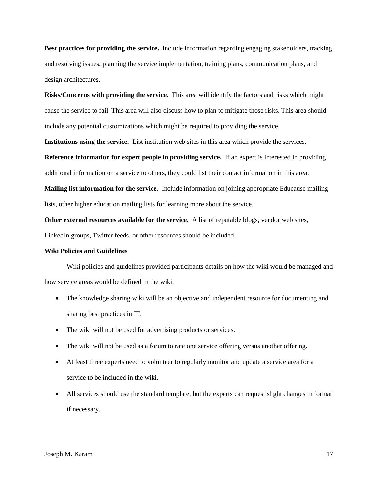**Best practices for providing the service.** Include information regarding engaging stakeholders, tracking and resolving issues, planning the service implementation, training plans, communication plans, and design architectures.

**Risks/Concerns with providing the service.** This area will identify the factors and risks which might cause the service to fail. This area will also discuss how to plan to mitigate those risks. This area should include any potential customizations which might be required to providing the service.

**Institutions using the service.** List institution web sites in this area which provide the services.

**Reference information for expert people in providing service.** If an expert is interested in providing additional information on a service to others, they could list their contact information in this area.

**Mailing list information for the service.** Include information on joining appropriate Educause mailing lists, other higher education mailing lists for learning more about the service.

**Other external resources available for the service.** A list of reputable blogs, vendor web sites, LinkedIn groups, Twitter feeds, or other resources should be included.

#### <span id="page-17-0"></span>**Wiki Policies and Guidelines**

Wiki policies and guidelines provided participants details on how the wiki would be managed and how service areas would be defined in the wiki.

- The knowledge sharing wiki will be an objective and independent resource for documenting and sharing best practices in IT.
- The wiki will not be used for advertising products or services.
- The wiki will not be used as a forum to rate one service offering versus another offering.
- At least three experts need to volunteer to regularly monitor and update a service area for a service to be included in the wiki.
- All services should use the standard template, but the experts can request slight changes in format if necessary.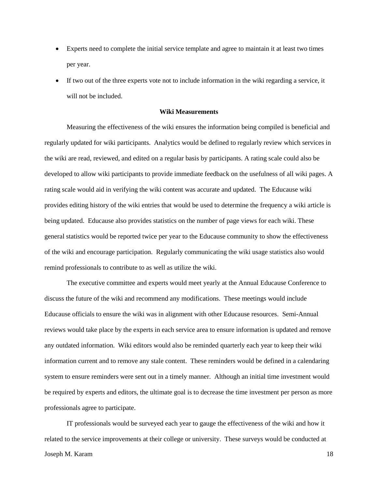- Experts need to complete the initial service template and agree to maintain it at least two times per year.
- If two out of the three experts vote not to include information in the wiki regarding a service, it will not be included.

#### **Wiki Measurements**

<span id="page-18-0"></span>Measuring the effectiveness of the wiki ensures the information being compiled is beneficial and regularly updated for wiki participants. Analytics would be defined to regularly review which services in the wiki are read, reviewed, and edited on a regular basis by participants. A rating scale could also be developed to allow wiki participants to provide immediate feedback on the usefulness of all wiki pages. A rating scale would aid in verifying the wiki content was accurate and updated. The Educause wiki provides editing history of the wiki entries that would be used to determine the frequency a wiki article is being updated. Educause also provides statistics on the number of page views for each wiki. These general statistics would be reported twice per year to the Educause community to show the effectiveness of the wiki and encourage participation. Regularly communicating the wiki usage statistics also would remind professionals to contribute to as well as utilize the wiki.

The executive committee and experts would meet yearly at the Annual Educause Conference to discuss the future of the wiki and recommend any modifications. These meetings would include Educause officials to ensure the wiki was in alignment with other Educause resources. Semi-Annual reviews would take place by the experts in each service area to ensure information is updated and remove any outdated information. Wiki editors would also be reminded quarterly each year to keep their wiki information current and to remove any stale content. These reminders would be defined in a calendaring system to ensure reminders were sent out in a timely manner. Although an initial time investment would be required by experts and editors, the ultimate goal is to decrease the time investment per person as more professionals agree to participate.

Joseph M. Karam 18 IT professionals would be surveyed each year to gauge the effectiveness of the wiki and how it related to the service improvements at their college or university. These surveys would be conducted at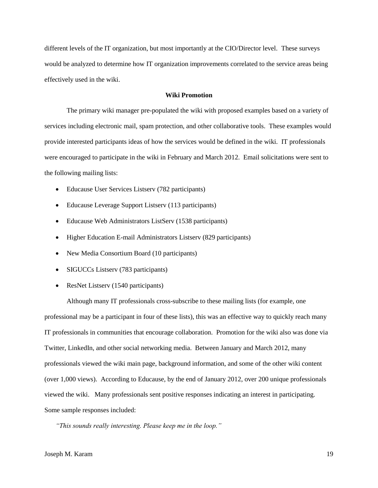different levels of the IT organization, but most importantly at the CIO/Director level. These surveys would be analyzed to determine how IT organization improvements correlated to the service areas being effectively used in the wiki.

#### **Wiki Promotion**

<span id="page-19-0"></span>The primary wiki manager pre-populated the wiki with proposed examples based on a variety of services including electronic mail, spam protection, and other collaborative tools. These examples would provide interested participants ideas of how the services would be defined in the wiki. IT professionals were encouraged to participate in the wiki in February and March 2012. Email solicitations were sent to the following mailing lists:

- Educause User Services Listserv (782 participants)
- Educause Leverage Support Listserv (113 participants)
- Educause Web Administrators ListServ (1538 participants)
- Higher Education E-mail Administrators Listserv (829 participants)
- New Media Consortium Board (10 participants)
- SIGUCCs Listserv (783 participants)
- ResNet Listserv (1540 participants)

Although many IT professionals cross-subscribe to these mailing lists (for example, one professional may be a participant in four of these lists), this was an effective way to quickly reach many IT professionals in communities that encourage collaboration. Promotion for the wiki also was done via Twitter, LinkedIn, and other social networking media. Between January and March 2012, many professionals viewed the wiki main page, background information, and some of the other wiki content (over 1,000 views). According to Educause, by the end of January 2012, over 200 unique professionals viewed the wiki. Many professionals sent positive responses indicating an interest in participating. Some sample responses included:

*"This sounds really interesting. Please keep me in the loop."*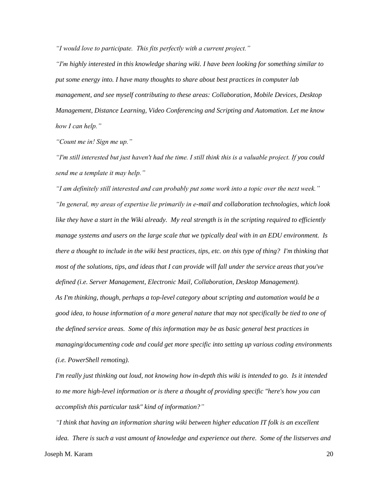*"I would love to participate. This fits perfectly with a current project."*

*"I'm highly interested in this knowledge sharing wiki. I have been looking for something similar to put some energy into. I have many thoughts to share about best practices in computer lab management, and see myself contributing to these areas: Collaboration, Mobile Devices, Desktop Management, Distance Learning, Video Conferencing and Scripting and Automation. Let me know how I can help."*

*"Count me in! Sign me up."*

*"I'm still interested but just haven't had the time. I still think this is a valuable project. If you could send me a template it may help."*

*"I am definitely still interested and can probably put some work into a topic over the next week." "In general, my areas of expertise lie primarily in e-mail and collaboration technologies, which look like they have a start in the Wiki already. My real strength is in the scripting required to efficiently manage systems and users on the large scale that we typically deal with in an EDU environment. Is there a thought to include in the wiki best practices, tips, etc. on this type of thing? I'm thinking that most of the solutions, tips, and ideas that I can provide will fall under the service areas that you've defined (i.e. Server Management, Electronic Mail, Collaboration, Desktop Management). As I'm thinking, though, perhaps a top-level category about scripting and automation would be a good idea, to house information of a more general nature that may not specifically be tied to one of the defined service areas. Some of this information may be as basic general best practices in managing/documenting code and could get more specific into setting up various coding environments (i.e. PowerShell remoting).*

*I'm really just thinking out loud, not knowing how in-depth this wiki is intended to go. Is it intended to me more high-level information or is there a thought of providing specific "here's how you can accomplish this particular task" kind of information?"*

Joseph M. Karam 20 *"I think that having an information sharing wiki between higher education IT folk is an excellent idea. There is such a vast amount of knowledge and experience out there. Some of the listserves and*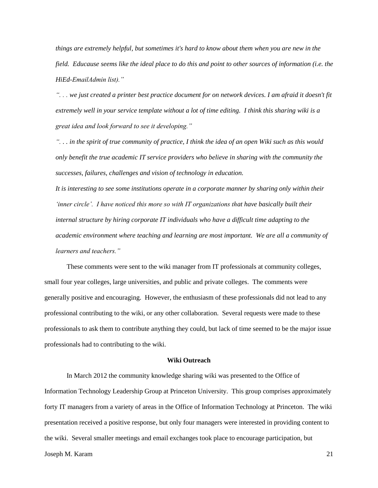*things are extremely helpful, but sometimes it's hard to know about them when you are new in the field. Educause seems like the ideal place to do this and point to other sources of information (i.e. the HiEd-EmailAdmin list)."*

*". . . we just created a printer best practice document for on network devices. I am afraid it doesn't fit extremely well in your service template without a lot of time editing. I think this sharing wiki is a great idea and look forward to see it developing."*

*". . . in the spirit of true community of practice, I think the idea of an open Wiki such as this would only benefit the true academic IT service providers who believe in sharing with the community the successes, failures, challenges and vision of technology in education.*

*It is interesting to see some institutions operate in a corporate manner by sharing only within their 'inner circle'. I have noticed this more so with IT organizations that have basically built their internal structure by hiring corporate IT individuals who have a difficult time adapting to the academic environment where teaching and learning are most important. We are all a community of learners and teachers."*

These comments were sent to the wiki manager from IT professionals at community colleges, small four year colleges, large universities, and public and private colleges. The comments were generally positive and encouraging. However, the enthusiasm of these professionals did not lead to any professional contributing to the wiki, or any other collaboration. Several requests were made to these professionals to ask them to contribute anything they could, but lack of time seemed to be the major issue professionals had to contributing to the wiki.

#### **Wiki Outreach**

<span id="page-21-0"></span>In March 2012 the community knowledge sharing wiki was presented to the Office of Information Technology Leadership Group at Princeton University. This group comprises approximately forty IT managers from a variety of areas in the Office of Information Technology at Princeton. The wiki presentation received a positive response, but only four managers were interested in providing content to the wiki. Several smaller meetings and email exchanges took place to encourage participation, but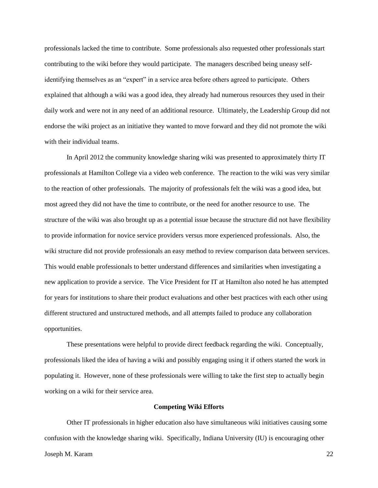professionals lacked the time to contribute. Some professionals also requested other professionals start contributing to the wiki before they would participate. The managers described being uneasy selfidentifying themselves as an "expert" in a service area before others agreed to participate. Others explained that although a wiki was a good idea, they already had numerous resources they used in their daily work and were not in any need of an additional resource. Ultimately, the Leadership Group did not endorse the wiki project as an initiative they wanted to move forward and they did not promote the wiki with their individual teams.

In April 2012 the community knowledge sharing wiki was presented to approximately thirty IT professionals at Hamilton College via a video web conference. The reaction to the wiki was very similar to the reaction of other professionals. The majority of professionals felt the wiki was a good idea, but most agreed they did not have the time to contribute, or the need for another resource to use. The structure of the wiki was also brought up as a potential issue because the structure did not have flexibility to provide information for novice service providers versus more experienced professionals. Also, the wiki structure did not provide professionals an easy method to review comparison data between services. This would enable professionals to better understand differences and similarities when investigating a new application to provide a service. The Vice President for IT at Hamilton also noted he has attempted for years for institutions to share their product evaluations and other best practices with each other using different structured and unstructured methods, and all attempts failed to produce any collaboration opportunities.

These presentations were helpful to provide direct feedback regarding the wiki. Conceptually, professionals liked the idea of having a wiki and possibly engaging using it if others started the work in populating it. However, none of these professionals were willing to take the first step to actually begin working on a wiki for their service area.

#### **Competing Wiki Efforts**

<span id="page-22-0"></span>Other IT professionals in higher education also have simultaneous wiki initiatives causing some confusion with the knowledge sharing wiki. Specifically, Indiana University (IU) is encouraging other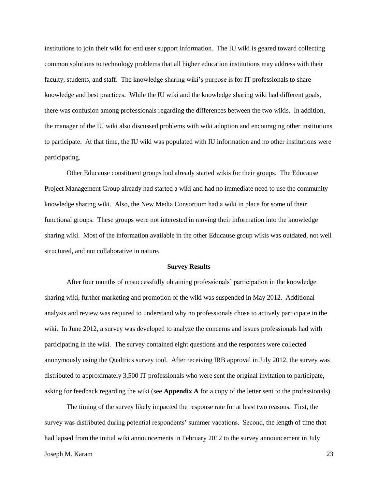institutions to join their wiki for end user support information. The IU wiki is geared toward collecting common solutions to technology problems that all higher education institutions may address with their faculty, students, and staff. The knowledge sharing wiki's purpose is for IT professionals to share knowledge and best practices. While the IU wiki and the knowledge sharing wiki had different goals, there was confusion among professionals regarding the differences between the two wikis. In addition, the manager of the IU wiki also discussed problems with wiki adoption and encouraging other institutions to participate. At that time, the IU wiki was populated with IU information and no other institutions were participating.

Other Educause constituent groups had already started wikis for their groups. The Educause Project Management Group already had started a wiki and had no immediate need to use the community knowledge sharing wiki. Also, the New Media Consortium had a wiki in place for some of their functional groups. These groups were not interested in moving their information into the knowledge sharing wiki. Most of the information available in the other Educause group wikis was outdated, not well structured, and not collaborative in nature.

#### **Survey Results**

<span id="page-23-0"></span>After four months of unsuccessfully obtaining professionals' participation in the knowledge sharing wiki, further marketing and promotion of the wiki was suspended in May 2012. Additional analysis and review was required to understand why no professionals chose to actively participate in the wiki. In June 2012, a survey was developed to analyze the concerns and issues professionals had with participating in the wiki. The survey contained eight questions and the responses were collected anonymously using the Qualtrics survey tool. After receiving IRB approval in July 2012, the survey was distributed to approximately 3,500 IT professionals who were sent the original invitation to participate, asking for feedback regarding the wiki (see **Appendix A** for a copy of the letter sent to the professionals).

The timing of the survey likely impacted the response rate for at least two reasons. First, the survey was distributed during potential respondents' summer vacations. Second, the length of time that had lapsed from the initial wiki announcements in February 2012 to the survey announcement in July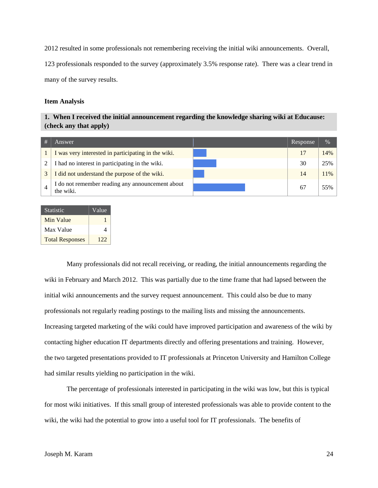2012 resulted in some professionals not remembering receiving the initial wiki announcements. Overall, 123 professionals responded to the survey (approximately 3.5% response rate). There was a clear trend in many of the survey results.

#### <span id="page-24-0"></span>**Item Analysis**

#### **1. When I received the initial announcement regarding the knowledge sharing wiki at Educause: (check any that apply)**

| # | Answer'                                                       | Response | $\frac{0}{0}$ |
|---|---------------------------------------------------------------|----------|---------------|
|   | I was very interested in participating in the wiki.           | 17       | 14%           |
| 2 | I had no interest in participating in the wiki.               | 30       | 25%           |
|   | I did not understand the purpose of the wiki.                 | 14       | 11%           |
|   | I do not remember reading any announcement about<br>the wiki. | 67       | 55%           |

| <b>Statistic</b>       | Value |  |
|------------------------|-------|--|
| Min Value              |       |  |
| Max Value              | Δ     |  |
| <b>Total Responses</b> | 122   |  |

Many professionals did not recall receiving, or reading, the initial announcements regarding the wiki in February and March 2012. This was partially due to the time frame that had lapsed between the initial wiki announcements and the survey request announcement. This could also be due to many professionals not regularly reading postings to the mailing lists and missing the announcements. Increasing targeted marketing of the wiki could have improved participation and awareness of the wiki by contacting higher education IT departments directly and offering presentations and training. However, the two targeted presentations provided to IT professionals at Princeton University and Hamilton College had similar results yielding no participation in the wiki.

The percentage of professionals interested in participating in the wiki was low, but this is typical for most wiki initiatives. If this small group of interested professionals was able to provide content to the wiki, the wiki had the potential to grow into a useful tool for IT professionals. The benefits of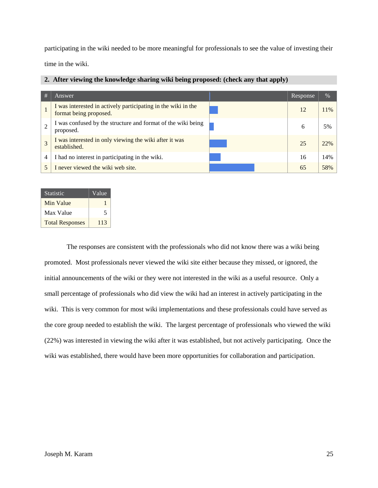participating in the wiki needed to be more meaningful for professionals to see the value of investing their

time in the wiki.

|  |  |  |  | 2. After viewing the knowledge sharing wiki being proposed: (check any that apply) |  |
|--|--|--|--|------------------------------------------------------------------------------------|--|
|  |  |  |  |                                                                                    |  |

| #              | Answer                                                                                  | Response | $\%$ |
|----------------|-----------------------------------------------------------------------------------------|----------|------|
|                | I was interested in actively participating in the wiki in the<br>format being proposed. | 12       | 11%  |
|                | I was confused by the structure and format of the wiki being<br>proposed.               | 6        | 5%   |
| 3              | I was interested in only viewing the wiki after it was<br>established.                  | 25       | 22%  |
| $\overline{4}$ | I had no interest in participating in the wiki.                                         | 16       | 14%  |
|                | I never viewed the wiki web site.                                                       | 65       | 58%  |

| <b>Statistic</b>       | Value |
|------------------------|-------|
| Min Value              |       |
| Max Value              | 5     |
| <b>Total Responses</b> | 113   |

The responses are consistent with the professionals who did not know there was a wiki being promoted. Most professionals never viewed the wiki site either because they missed, or ignored, the initial announcements of the wiki or they were not interested in the wiki as a useful resource. Only a small percentage of professionals who did view the wiki had an interest in actively participating in the wiki. This is very common for most wiki implementations and these professionals could have served as the core group needed to establish the wiki. The largest percentage of professionals who viewed the wiki (22%) was interested in viewing the wiki after it was established, but not actively participating. Once the wiki was established, there would have been more opportunities for collaboration and participation.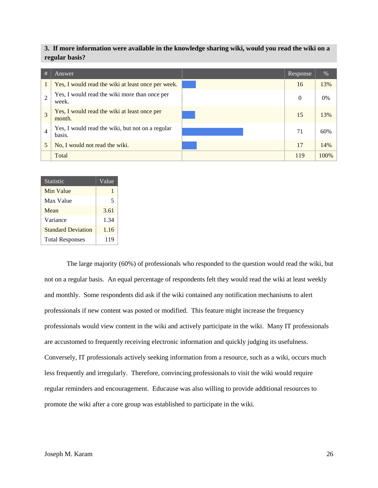**3. If more information were available in the knowledge sharing wiki, would you read the wiki on a regular basis?**

| #              | Answer                                                     | Response       | %     |
|----------------|------------------------------------------------------------|----------------|-------|
| 1              | Yes, I would read the wiki at least once per week.         | 16             | 13%   |
| $\overline{2}$ | Yes, I would read the wiki more than once per<br>week.     | $\overline{0}$ | $0\%$ |
| $\overline{3}$ | Yes, I would read the wiki at least once per<br>month.     | 15             | 13%   |
| $\overline{4}$ | Yes, I would read the wiki, but not on a regular<br>basis. | 71             | 60%   |
| 5              | No, I would not read the wiki.                             | 17             | 14%   |
|                | Total                                                      | 119            | 100%  |

| <b>Statistic</b>          | Value |
|---------------------------|-------|
| <b>Min Value</b>          |       |
| Max Value                 | 5     |
| Mean                      | 3.61  |
| Variance                  | 1.34  |
| <b>Standard Deviation</b> | 1.16  |
| <b>Total Responses</b>    | 119   |

The large majority (60%) of professionals who responded to the question would read the wiki, but not on a regular basis. An equal percentage of respondents felt they would read the wiki at least weekly and monthly. Some respondents did ask if the wiki contained any notification mechanisms to alert professionals if new content was posted or modified. This feature might increase the frequency professionals would view content in the wiki and actively participate in the wiki. Many IT professionals are accustomed to frequently receiving electronic information and quickly judging its usefulness. Conversely, IT professionals actively seeking information from a resource, such as a wiki, occurs much less frequently and irregularly. Therefore, convincing professionals to visit the wiki would require regular reminders and encouragement. Educause was also willing to provide additional resources to promote the wiki after a core group was established to participate in the wiki.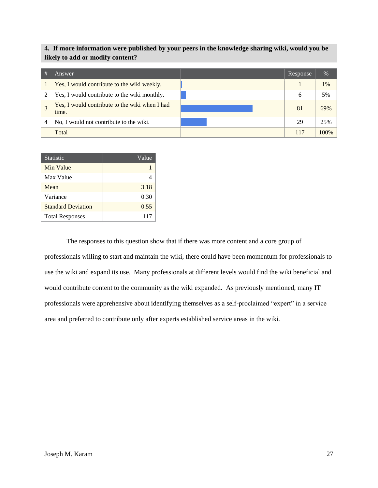#### **4. If more information were published by your peers in the knowledge sharing wiki, would you be likely to add or modify content?**

| # | Answer                                                  | <b>Response</b> | $\%$  |
|---|---------------------------------------------------------|-----------------|-------|
|   | Yes, I would contribute to the wiki weekly.             |                 | $1\%$ |
|   | Yes, I would contribute to the wiki monthly.            | 6               | 5%    |
|   | Yes, I would contribute to the wiki when I had<br>time. | 81              | 69%   |
| 4 | No, I would not contribute to the wiki.                 | 29              | 25%   |
|   | Total                                                   | 117             | 100%  |

| Statistic                 | Value |
|---------------------------|-------|
| Min Value                 |       |
| Max Value                 |       |
| Mean                      | 3.18  |
| Variance                  | 0.30  |
| <b>Standard Deviation</b> | 0.55  |
| <b>Total Responses</b>    | 117   |

The responses to this question show that if there was more content and a core group of professionals willing to start and maintain the wiki, there could have been momentum for professionals to use the wiki and expand its use. Many professionals at different levels would find the wiki beneficial and would contribute content to the community as the wiki expanded. As previously mentioned, many IT professionals were apprehensive about identifying themselves as a self-proclaimed "expert" in a service area and preferred to contribute only after experts established service areas in the wiki.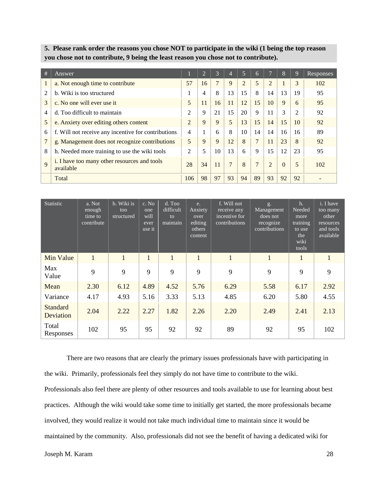**5. Please rank order the reasons you chose NOT to participate in the wiki (1 being the top reason you chose not to contribute, 9 being the least reason you chose not to contribute).**

| #               | Answer                                                    |                | $\overline{2}$ | 3  | $\overline{4}$ | 5              | 6              |                | $\overline{8}$ | 9  | Responses |
|-----------------|-----------------------------------------------------------|----------------|----------------|----|----------------|----------------|----------------|----------------|----------------|----|-----------|
| $\bf{I}$        | a. Not enough time to contribute                          | 57             | 16             | 7  | 9              | $\overline{2}$ | 5              | 2              |                | 3  | 102       |
| $\overline{2}$  | b. Wiki is too structured                                 |                | 4              | 8  | 13             | 15             | 8              | 14             | 13             | 19 | 95        |
| 3               | c. No one will ever use it                                | 5              | 11             | 16 | 11             | 12             | 15             | 10             | 9              | 6  | 95        |
| 4               | d. Too difficult to maintain                              | $\overline{2}$ | 9              | 21 | 15             | 20             | 9              | 11             | 3              | 2  | 92        |
| $5\overline{)}$ | e. Anxiety over editing others content                    | $\overline{2}$ | 9              | 9  | 5              | 13             | 15             | 14             | 15             | 10 | 92        |
| 6               | f. Will not receive any incentive for contributions       | 4              |                | 6  | 8              | 10             | 14             | 14             | 16             | 16 | 89        |
| $\overline{7}$  | g. Management does not recognize contributions            | 5              | 9              | 9  | 12             | 8              | $\overline{7}$ | 11             | 23             | 8  | 92        |
| 8               | h. Needed more training to use the wiki tools             | $\overline{c}$ | 5              | 10 | 13             | 6              | 9              | 15             | 12             | 23 | 95        |
| 9               | i. I have too many other resources and tools<br>available | 28             | 34             | 11 | $\overline{7}$ | 8              | $\overline{7}$ | $\overline{2}$ | $\Omega$       | 5  | 102       |
|                 | Total                                                     | 106            | 98             | 97 | 93             | 94             | 89             | 93             | 92             | 92 |           |

| <b>Statistic</b>             | a. Not<br>enough<br>time to<br>contribute | b. Wiki is<br>too<br>structured | c. No<br>one<br>will<br>ever<br>use it | d. Too<br>difficult<br>to<br>maintain | e.<br>Anxiety<br>over<br>editing<br>others<br>content | f. Will not<br>receive any<br>incentive for<br>contributions | g.<br>Management<br>does not<br>recognize<br>contributions | h.<br>Needed<br>more<br>training<br>to use<br>the<br>wiki<br>tools | i. I have<br>too many<br>other<br>resources<br>and tools<br>available |
|------------------------------|-------------------------------------------|---------------------------------|----------------------------------------|---------------------------------------|-------------------------------------------------------|--------------------------------------------------------------|------------------------------------------------------------|--------------------------------------------------------------------|-----------------------------------------------------------------------|
| Min Value                    | $\mathbf{1}$                              | $\mathbf{1}$                    | $\mathbf{1}$                           | $\mathbf{1}$                          | $\mathbf{1}$                                          | $\mathbf{1}$                                                 | $\mathbf{1}$                                               | $\mathbf{1}$                                                       | $\mathbf{1}$                                                          |
| Max<br>Value                 | 9                                         | 9                               | 9                                      | 9                                     | 9                                                     | 9                                                            | 9                                                          | 9                                                                  | 9                                                                     |
| Mean                         | 2.30                                      | 6.12                            | 4.89                                   | 4.52                                  | 5.76                                                  | 6.29                                                         | 5.58                                                       | 6.17                                                               | 2.92                                                                  |
| Variance                     | 4.17                                      | 4.93                            | 5.16                                   | 3.33                                  | 5.13                                                  | 4.85                                                         | 6.20                                                       | 5.80                                                               | 4.55                                                                  |
| <b>Standard</b><br>Deviation | 2.04                                      | 2.22                            | 2.27                                   | 1.82                                  | 2.26                                                  | 2.20                                                         | 2.49                                                       | 2.41                                                               | 2.13                                                                  |
| Total<br>Responses           | 102                                       | 95                              | 95                                     | 92                                    | 92                                                    | 89                                                           | 92                                                         | 95                                                                 | 102                                                                   |

There are two reasons that are clearly the primary issues professionals have with participating in the wiki. Primarily, professionals feel they simply do not have time to contribute to the wiki.

Professionals also feel there are plenty of other resources and tools available to use for learning about best practices. Although the wiki would take some time to initially get started, the more professionals became involved, they would realize it would not take much individual time to maintain since it would be maintained by the community. Also, professionals did not see the benefit of having a dedicated wiki for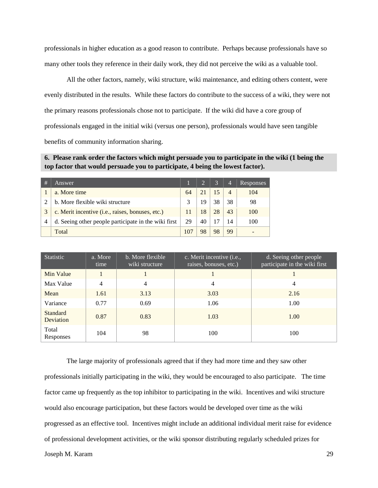professionals in higher education as a good reason to contribute. Perhaps because professionals have so many other tools they reference in their daily work, they did not perceive the wiki as a valuable tool.

All the other factors, namely, wiki structure, wiki maintenance, and editing others content, were evenly distributed in the results. While these factors do contribute to the success of a wiki, they were not the primary reasons professionals chose not to participate. If the wiki did have a core group of professionals engaged in the initial wiki (versus one person), professionals would have seen tangible benefits of community information sharing.

**6. Please rank order the factors which might persuade you to participate in the wiki (1 being the top factor that would persuade you to participate, 4 being the lowest factor).**

| # | Answer                                               |     | $\overline{2}$ | 3  | $\overline{4}$ | <b>Responses</b> |
|---|------------------------------------------------------|-----|----------------|----|----------------|------------------|
|   | a. More time                                         | 64  |                | 15 | $\overline{4}$ | 104              |
| ↑ | b. More flexible wiki structure                      | 3   | 19             | 38 | 38             | 98               |
| 3 | c. Merit incentive (i.e., raises, bonuses, etc.)     | 11  | 18             | 28 | 43             | 100              |
| 4 | d. Seeing other people participate in the wiki first | 29  | 40             |    | 14             | 100              |
|   | Total                                                | 107 |                | 98 | 99             | -                |

| <b>Statistic</b>      | a. More<br>time | b. More flexible<br>wiki structure | c. Merit incentive ( <i>i.e.</i> ,<br>raises, bonuses, etc.) | d. Seeing other people<br>participate in the wiki first |
|-----------------------|-----------------|------------------------------------|--------------------------------------------------------------|---------------------------------------------------------|
| Min Value             |                 |                                    |                                                              |                                                         |
| Max Value             | 4               | 4                                  | 4                                                            | 4                                                       |
| Mean                  | 1.61            | 3.13                               | 3.03                                                         | 2.16                                                    |
| Variance              | 0.77            | 0.69                               | 1.06                                                         | 1.00                                                    |
| Standard<br>Deviation | 0.87            | 0.83                               | 1.03                                                         | 1.00                                                    |
| Total<br>Responses    | 104             | 98                                 | 100                                                          | 100                                                     |

The large majority of professionals agreed that if they had more time and they saw other professionals initially participating in the wiki, they would be encouraged to also participate. The time factor came up frequently as the top inhibitor to participating in the wiki. Incentives and wiki structure would also encourage participation, but these factors would be developed over time as the wiki progressed as an effective tool. Incentives might include an additional individual merit raise for evidence of professional development activities, or the wiki sponsor distributing regularly scheduled prizes for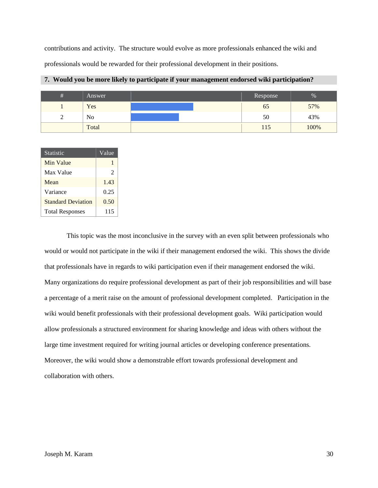contributions and activity. The structure would evolve as more professionals enhanced the wiki and professionals would be rewarded for their professional development in their positions.

| # | Answer         | Response | %    |
|---|----------------|----------|------|
|   | Yes            | 02       | 57%  |
|   | N <sub>o</sub> | 50       | 43%  |
|   | Total          | l 15     | 100% |

#### **7. Would you be more likely to participate if your management endorsed wiki participation?**

| <b>Statistic</b>          | Value |
|---------------------------|-------|
| Min Value                 |       |
| Max Value                 | 2     |
| Mean                      | 1.43  |
| Variance                  | 0.25  |
| <b>Standard Deviation</b> | 0.50  |
| <b>Total Responses</b>    | 115   |

This topic was the most inconclusive in the survey with an even split between professionals who would or would not participate in the wiki if their management endorsed the wiki. This shows the divide that professionals have in regards to wiki participation even if their management endorsed the wiki. Many organizations do require professional development as part of their job responsibilities and will base a percentage of a merit raise on the amount of professional development completed. Participation in the wiki would benefit professionals with their professional development goals. Wiki participation would allow professionals a structured environment for sharing knowledge and ideas with others without the large time investment required for writing journal articles or developing conference presentations. Moreover, the wiki would show a demonstrable effort towards professional development and collaboration with others.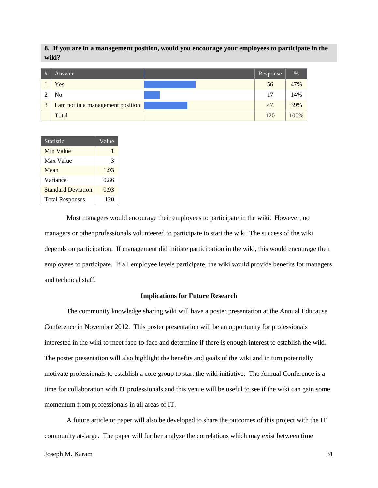**8. If you are in a management position, would you encourage your employees to participate in the wiki?**

| # | Answer                            | Response | $\sqrt{6}$ |
|---|-----------------------------------|----------|------------|
|   | Yes                               | 56       | 47%        |
|   | No                                | 17       | 14%        |
| 3 | I am not in a management position | 47       | 39%        |
|   | Total                             | 120      | 100%       |

| Statistic                 | Value |
|---------------------------|-------|
| Min Value                 |       |
| Max Value                 | 3     |
| Mean                      | 1.93  |
| Variance                  | 0.86  |
| <b>Standard Deviation</b> | 0.93  |
| <b>Total Responses</b>    | 120   |

Most managers would encourage their employees to participate in the wiki. However, no managers or other professionals volunteered to participate to start the wiki. The success of the wiki depends on participation. If management did initiate participation in the wiki, this would encourage their employees to participate. If all employee levels participate, the wiki would provide benefits for managers and technical staff.

#### **Implications for Future Research**

<span id="page-31-0"></span>The community knowledge sharing wiki will have a poster presentation at the Annual Educause Conference in November 2012. This poster presentation will be an opportunity for professionals interested in the wiki to meet face-to-face and determine if there is enough interest to establish the wiki. The poster presentation will also highlight the benefits and goals of the wiki and in turn potentially motivate professionals to establish a core group to start the wiki initiative. The Annual Conference is a time for collaboration with IT professionals and this venue will be useful to see if the wiki can gain some momentum from professionals in all areas of IT.

A future article or paper will also be developed to share the outcomes of this project with the IT community at-large. The paper will further analyze the correlations which may exist between time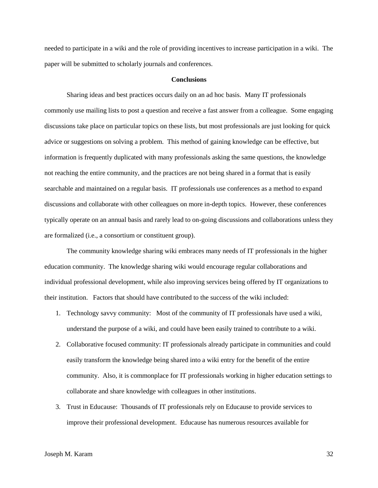needed to participate in a wiki and the role of providing incentives to increase participation in a wiki. The paper will be submitted to scholarly journals and conferences.

#### **Conclusions**

<span id="page-32-0"></span>Sharing ideas and best practices occurs daily on an ad hoc basis. Many IT professionals commonly use mailing lists to post a question and receive a fast answer from a colleague. Some engaging discussions take place on particular topics on these lists, but most professionals are just looking for quick advice or suggestions on solving a problem. This method of gaining knowledge can be effective, but information is frequently duplicated with many professionals asking the same questions, the knowledge not reaching the entire community, and the practices are not being shared in a format that is easily searchable and maintained on a regular basis. IT professionals use conferences as a method to expand discussions and collaborate with other colleagues on more in-depth topics. However, these conferences typically operate on an annual basis and rarely lead to on-going discussions and collaborations unless they are formalized (i.e., a consortium or constituent group).

The community knowledge sharing wiki embraces many needs of IT professionals in the higher education community. The knowledge sharing wiki would encourage regular collaborations and individual professional development, while also improving services being offered by IT organizations to their institution. Factors that should have contributed to the success of the wiki included:

- 1. Technology savvy community: Most of the community of IT professionals have used a wiki, understand the purpose of a wiki, and could have been easily trained to contribute to a wiki.
- 2. Collaborative focused community: IT professionals already participate in communities and could easily transform the knowledge being shared into a wiki entry for the benefit of the entire community. Also, it is commonplace for IT professionals working in higher education settings to collaborate and share knowledge with colleagues in other institutions.
- 3. Trust in Educause: Thousands of IT professionals rely on Educause to provide services to improve their professional development. Educause has numerous resources available for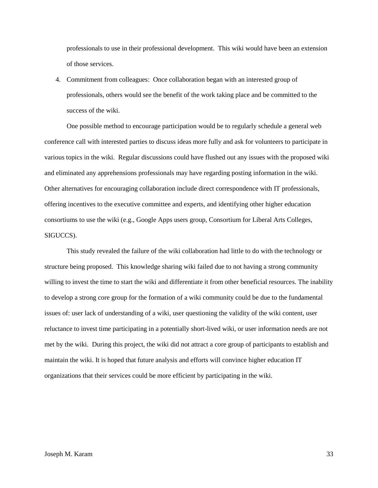professionals to use in their professional development. This wiki would have been an extension of those services.

4. Commitment from colleagues: Once collaboration began with an interested group of professionals, others would see the benefit of the work taking place and be committed to the success of the wiki.

One possible method to encourage participation would be to regularly schedule a general web conference call with interested parties to discuss ideas more fully and ask for volunteers to participate in various topics in the wiki. Regular discussions could have flushed out any issues with the proposed wiki and eliminated any apprehensions professionals may have regarding posting information in the wiki. Other alternatives for encouraging collaboration include direct correspondence with IT professionals, offering incentives to the executive committee and experts, and identifying other higher education consortiums to use the wiki (e.g., Google Apps users group, Consortium for Liberal Arts Colleges, SIGUCCS).

This study revealed the failure of the wiki collaboration had little to do with the technology or structure being proposed. This knowledge sharing wiki failed due to not having a strong community willing to invest the time to start the wiki and differentiate it from other beneficial resources. The inability to develop a strong core group for the formation of a wiki community could be due to the fundamental issues of: user lack of understanding of a wiki, user questioning the validity of the wiki content, user reluctance to invest time participating in a potentially short-lived wiki, or user information needs are not met by the wiki. During this project, the wiki did not attract a core group of participants to establish and maintain the wiki. It is hoped that future analysis and efforts will convince higher education IT organizations that their services could be more efficient by participating in the wiki.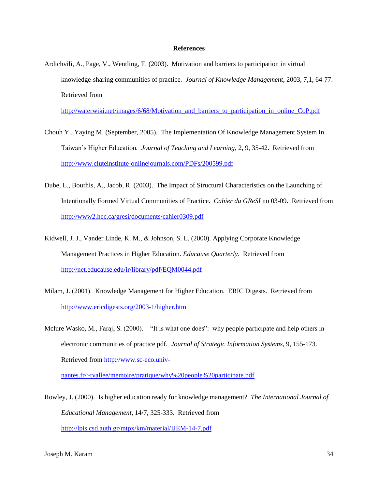#### **References**

<span id="page-34-0"></span>Ardichvili, A., Page, V., Wentling, T. (2003). Motivation and barriers to participation in virtual knowledge-sharing communities of practice*. Journal of Knowledge Management*, 2003, 7,1, 64-77. Retrieved from

[http://waterwiki.net/images/6/68/Motivation\\_and\\_barriers\\_to\\_participation\\_in\\_online\\_CoP.pdf](http://waterwiki.net/images/6/68/Motivation_and_barriers_to_participation_in_online_CoP.pdf)

- Chouh Y., Yaying M. (September, 2005). The Implementation Of Knowledge Management System In Taiwan's Higher Education*. Journal of Teaching and Learning*, 2, 9, 35-42. Retrieved from <http://www.cluteinstitute-onlinejournals.com/PDFs/200599.pdf>
- Dube, L., Bourhis, A., Jacob, R. (2003). The Impact of Structural Characteristics on the Launching of Intentionally Formed Virtual Communities of Practice*. Cahier du GReSI* no 03-09. Retrieved from <http://www2.hec.ca/gresi/documents/cahier0309.pdf>
- Kidwell, J. J., Vander Linde, K. M., & Johnson, S. L. (2000). Applying Corporate Knowledge Management Practices in Higher Education. *Educause Quarterly*. Retrieved from <http://net.educause.edu/ir/library/pdf/EQM0044.pdf>
- Milam, J. (2001). Knowledge Management for Higher Education*.* ERIC Digests. Retrieved from <http://www.ericdigests.org/2003-1/higher.htm>
- Mclure Wasko, M., Faraj, S. (2000). "It is what one does": why people participate and help others in electronic communities of practice pdf*. Journal of Strategic Information Systems*, 9, 155-173. Retrieved fro[m http://www.sc-eco.univ-](http://www.sc-eco.univ-nantes.fr/~tvallee/memoire/pratique/why%20people%20participate.pdf)

[nantes.fr/~tvallee/memoire/pratique/why%20people%20participate.pdf](http://www.sc-eco.univ-nantes.fr/~tvallee/memoire/pratique/why%20people%20participate.pdf) 

Rowley, J. (2000). Is higher education ready for knowledge management? *The International Journal of Educational Management*, 14/7, 325-333. Retrieved from <http://lpis.csd.auth.gr/mtpx/km/material/IJEM-14-7.pdf>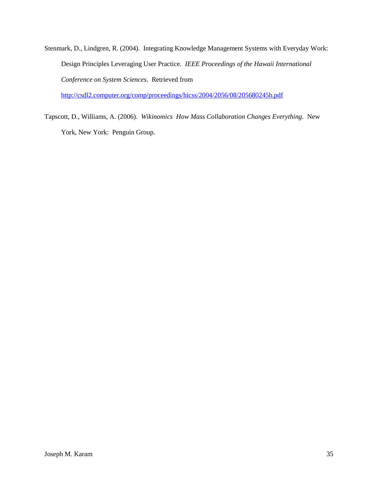Stenmark, D., Lindgren, R. (2004). Integrating Knowledge Management Systems with Everyday Work: Design Principles Leveraging User Practice. *IEEE Proceedings of the Hawaii International Conference on System Sciences*. Retrieved from

<http://csdl2.computer.org/comp/proceedings/hicss/2004/2056/08/205680245b.pdf>

Tapscott, D., Williams, A. (2006). *Wikinomics How Mass Collaboration Changes Everything.* New York, New York: Penguin Group.